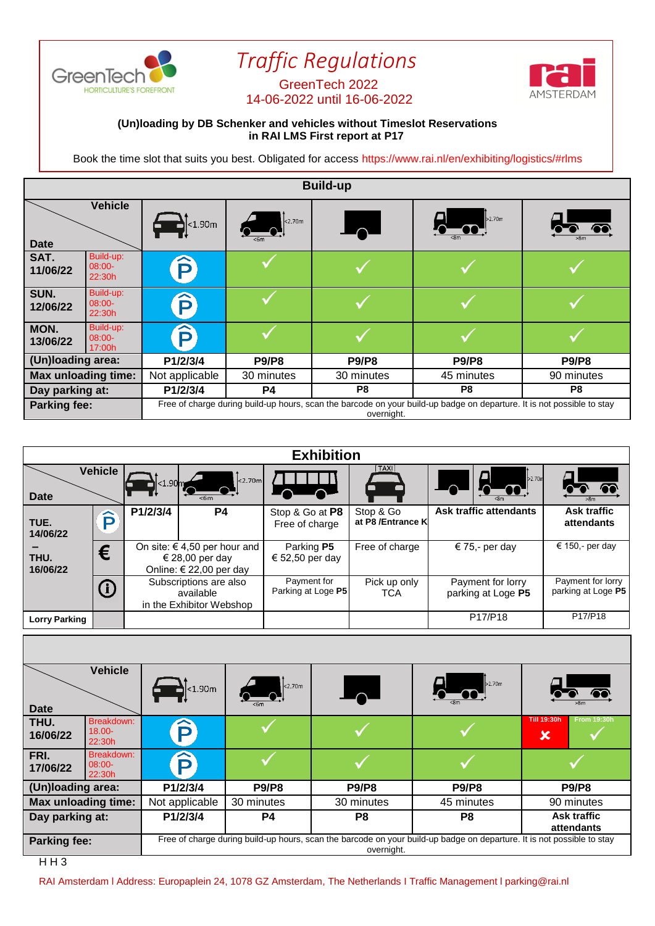

## *Traffic Regulations*

## 14-06-2022 until 16-06-2022



## **(Un)loading by DB Schenker and vehicles without Timeslot Reservations in RAI LMS First report at P17**

Book the time slot that suits you best. Obligated for access https://www.rai.nl/en/exhibiting/logistics/#rlms

| <b>Build-up</b>            |                                 |                                                                                                                                      |                |                 |              |              |
|----------------------------|---------------------------------|--------------------------------------------------------------------------------------------------------------------------------------|----------------|-----------------|--------------|--------------|
| <b>Date</b>                | <b>Vehicle</b>                  | $\Delta$ <1.90m                                                                                                                      | $\vert$ <2.70m | $\overline{\ }$ | b2.70m       |              |
| SAT.<br>11/06/22           | Build-up:<br>$08:00-$<br>22:30h | P                                                                                                                                    |                |                 |              |              |
| SUN.<br>12/06/22           | Build-up:<br>$08:00-$<br>22:30h | $\mathbf{\widehat{P}}$                                                                                                               |                |                 |              |              |
| MON.<br>13/06/22           | Build-up:<br>$08:00-$<br>17:00h | $\mathbf{\widehat{p}}$                                                                                                               |                |                 |              |              |
| (Un)loading area:          |                                 | P1/2/3/4                                                                                                                             | <b>P9/P8</b>   | <b>P9/P8</b>    | <b>P9/P8</b> | <b>P9/P8</b> |
| <b>Max unloading time:</b> |                                 | Not applicable<br>30 minutes                                                                                                         |                | 30 minutes      | 45 minutes   | 90 minutes   |
| Day parking at:            |                                 | P1/2/3/4                                                                                                                             | P4             | P8              | P8           | P8           |
| Parking fee:               |                                 | Free of charge during build-up hours, scan the barcode on your build-up badge on departure. It is not possible to stay<br>overnight. |                |                 |              |              |

| <b>Exhibition</b>    |                |            |                                                                                |                                   |                                |                                         |                                         |
|----------------------|----------------|------------|--------------------------------------------------------------------------------|-----------------------------------|--------------------------------|-----------------------------------------|-----------------------------------------|
| <b>Date</b>          | <b>Vehicle</b> | $< 1.90$ m | 2.70m <br><6m                                                                  |                                   | TAXI)                          | 2.70m                                   |                                         |
| TUE.<br>14/06/22     | ô              | P1/2/3/4   | P4                                                                             | Stop & Go at P8<br>Free of charge | Stop & Go<br>at P8 /Entrance K | Ask traffic attendants                  | <b>Ask traffic</b><br>attendants        |
| THU.<br>16/06/22     | €              |            | On site: $\in$ 4,50 per hour and<br>€ 28,00 per day<br>Online: € 22,00 per day | Parking P5<br>€ 52,50 per day     | Free of charge                 | € 75,- per day                          | € 150,- per day                         |
|                      | $\bigcirc$     |            | Subscriptions are also<br>available<br>in the Exhibitor Webshop                | Payment for<br>Parking at Loge P5 | Pick up only<br>TCA            | Payment for lorry<br>parking at Loge P5 | Payment for lorry<br>parking at Loge P5 |
| <b>Lorry Parking</b> |                |            |                                                                                |                                   |                                | P17/P18                                 | P17/P18                                 |
|                      |                |            |                                                                                |                                   |                                |                                         |                                         |

|                            | <b>Vehicle</b>                    |                                                                                                                                      |                |              |              |                                               |  |
|----------------------------|-----------------------------------|--------------------------------------------------------------------------------------------------------------------------------------|----------------|--------------|--------------|-----------------------------------------------|--|
| <b>Date</b>                |                                   | $\mathbf{a}$ < 1.90m                                                                                                                 | $\vert$ <2.70m |              | 52.70m       | >8 <sub>m</sub>                               |  |
| THU.<br>16/06/22           | Breakdown:<br>$18.00 -$<br>22:30h | D                                                                                                                                    |                |              |              | <b>Till 19:30h</b><br><b>From 19:30h</b><br>× |  |
| FRI.<br>17/06/22           | Breakdown:<br>08:00-<br>22:30h    | D                                                                                                                                    |                |              |              |                                               |  |
| (Un)loading area:          |                                   | P1/2/3/4                                                                                                                             | <b>P9/P8</b>   | <b>P9/P8</b> | <b>P9/P8</b> | <b>P9/P8</b>                                  |  |
| <b>Max unloading time:</b> |                                   | Not applicable                                                                                                                       | 30 minutes     | 30 minutes   | 45 minutes   | 90 minutes                                    |  |
| Day parking at:            |                                   | P1/2/3/4                                                                                                                             | P4             | P8           | P8           | Ask traffic<br>attendants                     |  |
| Parking fee:               |                                   | Free of charge during build-up hours, scan the barcode on your build-up badge on departure. It is not possible to stay<br>overnight. |                |              |              |                                               |  |

RAI Amsterdam I Address: Europaplein 24, 1078 GZ Amsterdam, The Netherlands I Traffic Management I parking@rai.nl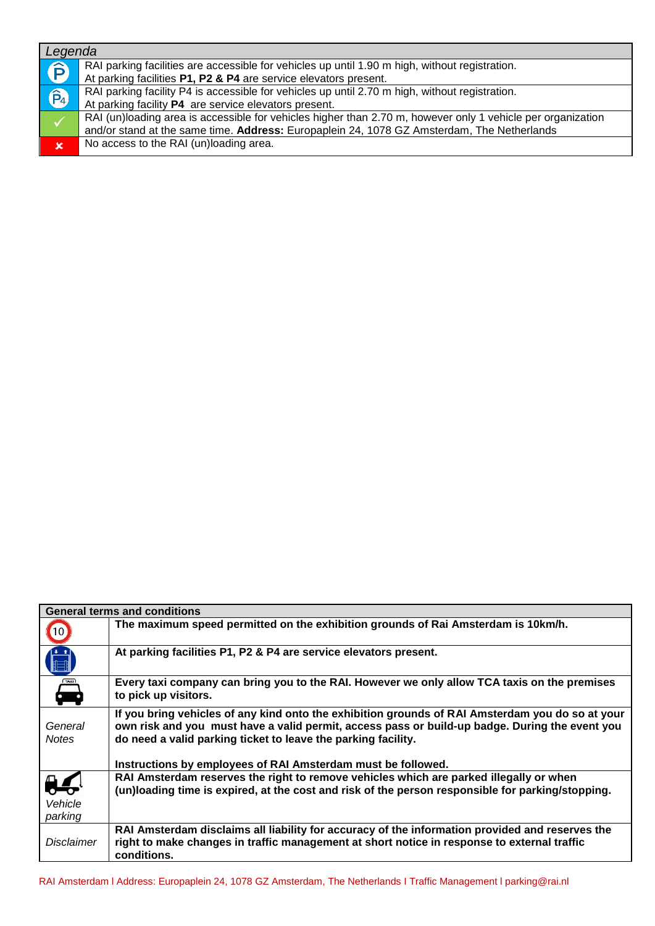| Legenda     |                                                                                                                                                                                                           |
|-------------|-----------------------------------------------------------------------------------------------------------------------------------------------------------------------------------------------------------|
| Ê           | RAI parking facilities are accessible for vehicles up until 1.90 m high, without registration.<br>At parking facilities P1, P2 & P4 are service elevators present.                                        |
| Q           | RAI parking facility P4 is accessible for vehicles up until 2.70 m high, without registration.<br>At parking facility P4 are service elevators present.                                                   |
|             | RAI (un)loading area is accessible for vehicles higher than 2.70 m, however only 1 vehicle per organization<br>and/or stand at the same time. Address: Europaplein 24, 1078 GZ Amsterdam, The Netherlands |
| $\mathbf x$ | No access to the RAI (un)loading area.                                                                                                                                                                    |

|                                     | <b>General terms and conditions</b>                                                                                                                                                                                                                                 |
|-------------------------------------|---------------------------------------------------------------------------------------------------------------------------------------------------------------------------------------------------------------------------------------------------------------------|
| (10)                                | The maximum speed permitted on the exhibition grounds of Rai Amsterdam is 10km/h.                                                                                                                                                                                   |
| $\ddot{\phantom{1}}$                | At parking facilities P1, P2 & P4 are service elevators present.                                                                                                                                                                                                    |
| <b>TAXI</b>                         | Every taxi company can bring you to the RAI. However we only allow TCA taxis on the premises<br>to pick up visitors.                                                                                                                                                |
| General<br><b>Notes</b>             | If you bring vehicles of any kind onto the exhibition grounds of RAI Amsterdam you do so at your<br>own risk and you must have a valid permit, access pass or build-up badge. During the event you<br>do need a valid parking ticket to leave the parking facility. |
|                                     | Instructions by employees of RAI Amsterdam must be followed.                                                                                                                                                                                                        |
| $\frac{1}{2}$<br>Vehicle<br>parking | RAI Amsterdam reserves the right to remove vehicles which are parked illegally or when<br>(un)loading time is expired, at the cost and risk of the person responsible for parking/stopping.                                                                         |
| <b>Disclaimer</b>                   | RAI Amsterdam disclaims all liability for accuracy of the information provided and reserves the<br>right to make changes in traffic management at short notice in response to external traffic<br>conditions.                                                       |